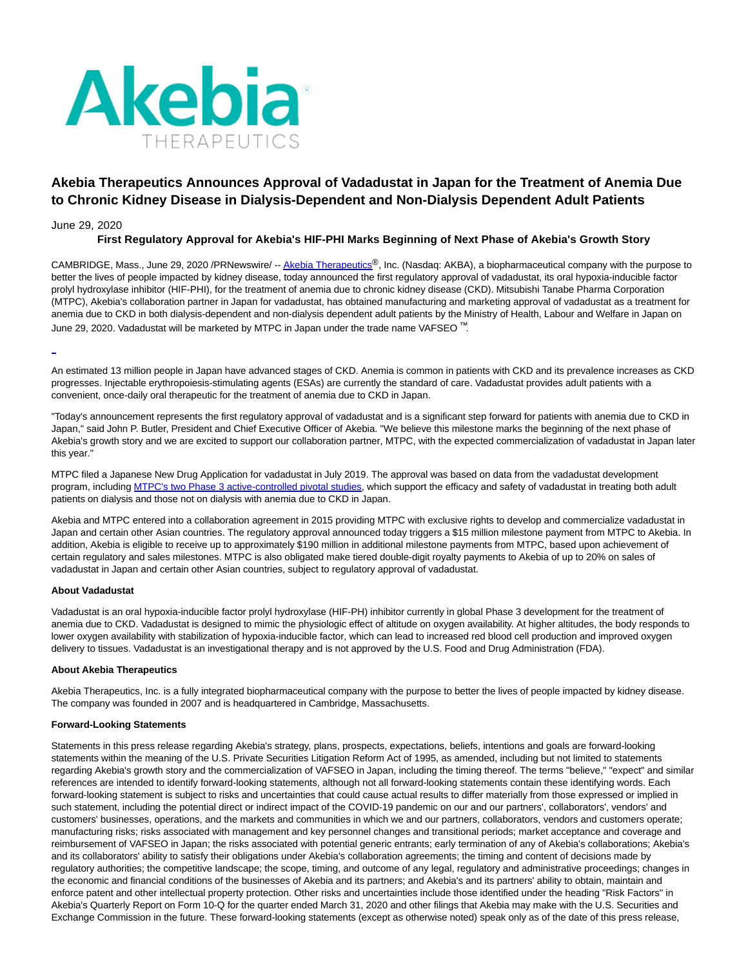

# **Akebia Therapeutics Announces Approval of Vadadustat in Japan for the Treatment of Anemia Due to Chronic Kidney Disease in Dialysis-Dependent and Non-Dialysis Dependent Adult Patients**

### June 29, 2020

## **First Regulatory Approval for Akebia's HIF-PHI Marks Beginning of Next Phase of Akebia's Growth Story**

CAMBRIDGE, Mass., June 29, 2020 /PRNewswire/ -[- Akebia Therapeutics](https://c212.net/c/link/?t=0&l=en&o=2843418-1&h=2673510493&u=http%3A%2F%2Fwww.akebia.com%2F&a=Akebia+Therapeutics)®, Inc. (Nasdaq: AKBA), a biopharmaceutical company with the purpose to better the lives of people impacted by kidney disease, today announced the first regulatory approval of vadadustat, its oral hypoxia-inducible factor prolyl hydroxylase inhibitor (HIF-PHI), for the treatment of anemia due to chronic kidney disease (CKD). Mitsubishi Tanabe Pharma Corporation (MTPC), Akebia's collaboration partner in Japan for vadadustat, has obtained manufacturing and marketing approval of vadadustat as a treatment for anemia due to CKD in both dialysis-dependent and non-dialysis dependent adult patients by the Ministry of Health, Labour and Welfare in Japan on June 29, 2020. Vadadustat will be marketed by MTPC in Japan under the trade name VAFSEO ™.

An estimated 13 million people in Japan have advanced stages of CKD. Anemia is common in patients with CKD and its prevalence increases as CKD progresses. Injectable erythropoiesis-stimulating agents (ESAs) are currently the standard of care. Vadadustat provides adult patients with a convenient, once-daily oral therapeutic for the treatment of anemia due to CKD in Japan.

"Today's announcement represents the first regulatory approval of vadadustat and is a significant step forward for patients with anemia due to CKD in Japan," said John P. Butler, President and Chief Executive Officer of Akebia. "We believe this milestone marks the beginning of the next phase of Akebia's growth story and we are excited to support our collaboration partner, MTPC, with the expected commercialization of vadadustat in Japan later this year."

MTPC filed a Japanese New Drug Application for vadadustat in July 2019. The approval was based on data from the vadadustat development program, including [MTPC's two Phase 3 active-controlled pivotal studies,](https://c212.net/c/link/?t=0&l=en&o=2843418-1&h=861203457&u=https%3A%2F%2Fir.akebia.com%2Fnews-releases%2Fnews-release-details%2Fakebia-announces-positive-52-week-efficacy-and-safety-data&a=MTPC%27s+two+Phase+3+active-controlled+pivotal+studies) which support the efficacy and safety of vadadustat in treating both adult patients on dialysis and those not on dialysis with anemia due to CKD in Japan.

Akebia and MTPC entered into a collaboration agreement in 2015 providing MTPC with exclusive rights to develop and commercialize vadadustat in Japan and certain other Asian countries. The regulatory approval announced today triggers a \$15 million milestone payment from MTPC to Akebia. In addition, Akebia is eligible to receive up to approximately \$190 million in additional milestone payments from MTPC, based upon achievement of certain regulatory and sales milestones. MTPC is also obligated make tiered double-digit royalty payments to Akebia of up to 20% on sales of vadadustat in Japan and certain other Asian countries, subject to regulatory approval of vadadustat.

#### **About Vadadustat**

Vadadustat is an oral hypoxia-inducible factor prolyl hydroxylase (HIF-PH) inhibitor currently in global Phase 3 development for the treatment of anemia due to CKD. Vadadustat is designed to mimic the physiologic effect of altitude on oxygen availability. At higher altitudes, the body responds to lower oxygen availability with stabilization of hypoxia-inducible factor, which can lead to increased red blood cell production and improved oxygen delivery to tissues. Vadadustat is an investigational therapy and is not approved by the U.S. Food and Drug Administration (FDA).

#### **About Akebia Therapeutics**

Akebia Therapeutics, Inc. is a fully integrated biopharmaceutical company with the purpose to better the lives of people impacted by kidney disease. The company was founded in 2007 and is headquartered in Cambridge, Massachusetts.

#### **Forward-Looking Statements**

Statements in this press release regarding Akebia's strategy, plans, prospects, expectations, beliefs, intentions and goals are forward-looking statements within the meaning of the U.S. Private Securities Litigation Reform Act of 1995, as amended, including but not limited to statements regarding Akebia's growth story and the commercialization of VAFSEO in Japan, including the timing thereof. The terms "believe," "expect" and similar references are intended to identify forward-looking statements, although not all forward-looking statements contain these identifying words. Each forward-looking statement is subject to risks and uncertainties that could cause actual results to differ materially from those expressed or implied in such statement, including the potential direct or indirect impact of the COVID-19 pandemic on our and our partners', collaborators', vendors' and customers' businesses, operations, and the markets and communities in which we and our partners, collaborators, vendors and customers operate; manufacturing risks; risks associated with management and key personnel changes and transitional periods; market acceptance and coverage and reimbursement of VAFSEO in Japan; the risks associated with potential generic entrants; early termination of any of Akebia's collaborations; Akebia's and its collaborators' ability to satisfy their obligations under Akebia's collaboration agreements; the timing and content of decisions made by regulatory authorities; the competitive landscape; the scope, timing, and outcome of any legal, regulatory and administrative proceedings; changes in the economic and financial conditions of the businesses of Akebia and its partners; and Akebia's and its partners' ability to obtain, maintain and enforce patent and other intellectual property protection. Other risks and uncertainties include those identified under the heading "Risk Factors" in Akebia's Quarterly Report on Form 10-Q for the quarter ended March 31, 2020 and other filings that Akebia may make with the U.S. Securities and Exchange Commission in the future. These forward-looking statements (except as otherwise noted) speak only as of the date of this press release,